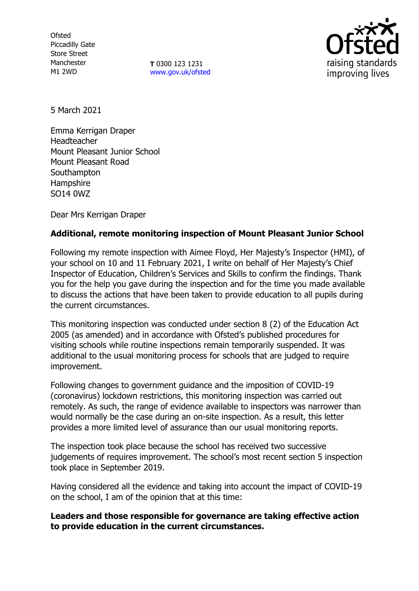**Ofsted** Piccadilly Gate Store Street Manchester M1 2WD

**T** 0300 123 1231 [www.gov.uk/ofsted](http://www.gov.uk/ofsted)



5 March 2021

Emma Kerrigan Draper Headteacher Mount Pleasant Junior School Mount Pleasant Road **Southampton Hampshire** SO14 0WZ

Dear Mrs Kerrigan Draper

# **Additional, remote monitoring inspection of Mount Pleasant Junior School**

Following my remote inspection with Aimee Floyd, Her Majesty's Inspector (HMI), of your school on 10 and 11 February 2021, I write on behalf of Her Majesty's Chief Inspector of Education, Children's Services and Skills to confirm the findings. Thank you for the help you gave during the inspection and for the time you made available to discuss the actions that have been taken to provide education to all pupils during the current circumstances.

This monitoring inspection was conducted under section 8 (2) of the Education Act 2005 (as amended) and in accordance with Ofsted's published procedures for visiting schools while routine inspections remain temporarily suspended. It was additional to the usual monitoring process for schools that are judged to require improvement.

Following changes to government guidance and the imposition of COVID-19 (coronavirus) lockdown restrictions, this monitoring inspection was carried out remotely. As such, the range of evidence available to inspectors was narrower than would normally be the case during an on-site inspection. As a result, this letter provides a more limited level of assurance than our usual monitoring reports.

The inspection took place because the school has received two successive judgements of requires improvement. The school's most recent section 5 inspection took place in September 2019.

Having considered all the evidence and taking into account the impact of COVID-19 on the school, I am of the opinion that at this time:

## **Leaders and those responsible for governance are taking effective action to provide education in the current circumstances.**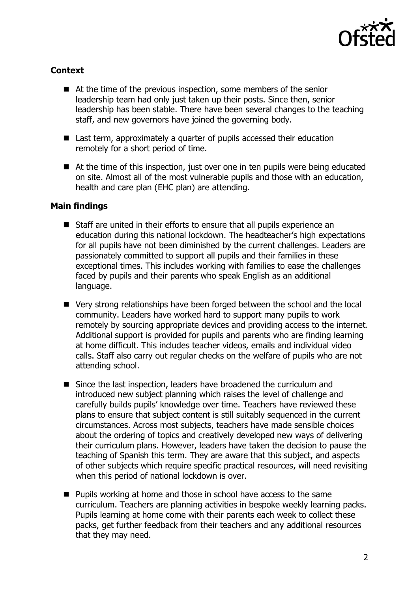

# **Context**

- At the time of the previous inspection, some members of the senior leadership team had only just taken up their posts. Since then, senior leadership has been stable. There have been several changes to the teaching staff, and new governors have joined the governing body.
- Last term, approximately a quarter of pupils accessed their education remotely for a short period of time.
- At the time of this inspection, just over one in ten pupils were being educated on site. Almost all of the most vulnerable pupils and those with an education, health and care plan (EHC plan) are attending.

## **Main findings**

- Staff are united in their efforts to ensure that all pupils experience an education during this national lockdown. The headteacher's high expectations for all pupils have not been diminished by the current challenges. Leaders are passionately committed to support all pupils and their families in these exceptional times. This includes working with families to ease the challenges faced by pupils and their parents who speak English as an additional language.
- Very strong relationships have been forged between the school and the local community. Leaders have worked hard to support many pupils to work remotely by sourcing appropriate devices and providing access to the internet. Additional support is provided for pupils and parents who are finding learning at home difficult. This includes teacher videos, emails and individual video calls. Staff also carry out regular checks on the welfare of pupils who are not attending school.
- Since the last inspection, leaders have broadened the curriculum and introduced new subject planning which raises the level of challenge and carefully builds pupils' knowledge over time. Teachers have reviewed these plans to ensure that subject content is still suitably sequenced in the current circumstances. Across most subjects, teachers have made sensible choices about the ordering of topics and creatively developed new ways of delivering their curriculum plans. However, leaders have taken the decision to pause the teaching of Spanish this term. They are aware that this subject, and aspects of other subjects which require specific practical resources, will need revisiting when this period of national lockdown is over.
- Pupils working at home and those in school have access to the same curriculum. Teachers are planning activities in bespoke weekly learning packs. Pupils learning at home come with their parents each week to collect these packs, get further feedback from their teachers and any additional resources that they may need.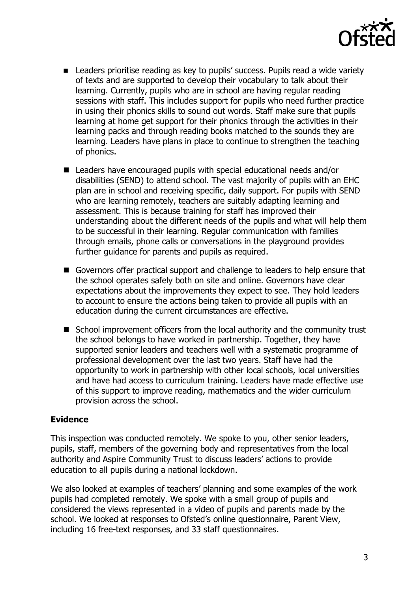

- Leaders prioritise reading as key to pupils' success. Pupils read a wide variety of texts and are supported to develop their vocabulary to talk about their learning. Currently, pupils who are in school are having regular reading sessions with staff. This includes support for pupils who need further practice in using their phonics skills to sound out words. Staff make sure that pupils learning at home get support for their phonics through the activities in their learning packs and through reading books matched to the sounds they are learning. Leaders have plans in place to continue to strengthen the teaching of phonics.
- Leaders have encouraged pupils with special educational needs and/or disabilities (SEND) to attend school. The vast majority of pupils with an EHC plan are in school and receiving specific, daily support. For pupils with SEND who are learning remotely, teachers are suitably adapting learning and assessment. This is because training for staff has improved their understanding about the different needs of the pupils and what will help them to be successful in their learning. Regular communication with families through emails, phone calls or conversations in the playground provides further guidance for parents and pupils as required.
- Governors offer practical support and challenge to leaders to help ensure that the school operates safely both on site and online. Governors have clear expectations about the improvements they expect to see. They hold leaders to account to ensure the actions being taken to provide all pupils with an education during the current circumstances are effective.
- School improvement officers from the local authority and the community trust the school belongs to have worked in partnership. Together, they have supported senior leaders and teachers well with a systematic programme of professional development over the last two years. Staff have had the opportunity to work in partnership with other local schools, local universities and have had access to curriculum training. Leaders have made effective use of this support to improve reading, mathematics and the wider curriculum provision across the school.

#### **Evidence**

This inspection was conducted remotely. We spoke to you, other senior leaders, pupils, staff, members of the governing body and representatives from the local authority and Aspire Community Trust to discuss leaders' actions to provide education to all pupils during a national lockdown.

We also looked at examples of teachers' planning and some examples of the work pupils had completed remotely. We spoke with a small group of pupils and considered the views represented in a video of pupils and parents made by the school. We looked at responses to Ofsted's online questionnaire, Parent View, including 16 free-text responses, and 33 staff questionnaires.